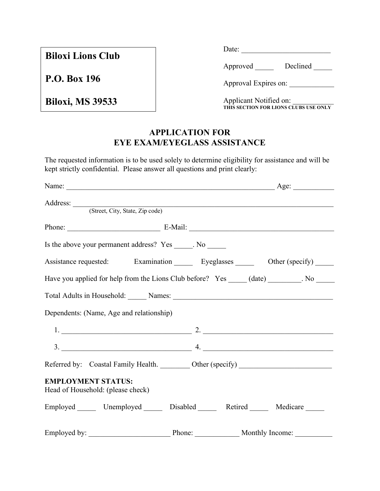**Biloxi Lions Club**

**P.O. Box 196**

**Biloxi, MS 39533**

Date: \_\_\_\_\_\_\_\_\_\_\_\_\_\_\_\_\_\_\_\_\_\_\_\_

Approved Declined

|  |  | Approval Expires on: |  |
|--|--|----------------------|--|
|--|--|----------------------|--|

Applicant Notified on: **THIS SECTION FOR LIONS CLUBS USE ONLY**

## **APPLICATION FOR EYE EXAM/EYEGLASS ASSISTANCE**

The requested information is to be used solely to determine eligibility for assistance and will be kept strictly confidential. Please answer all questions and print clearly:

| Address: <u>(Street, City, State, Zip code)</u>                                              |  |  |
|----------------------------------------------------------------------------------------------|--|--|
|                                                                                              |  |  |
| Phone: E-Mail: E-Mail:                                                                       |  |  |
| Is the above your permanent address? Yes _____. No _______                                   |  |  |
| Assistance requested: Examination Eyeglasses Department (specify) Department                 |  |  |
| Have you applied for help from the Lions Club before? Yes _____ (date) _________. No _______ |  |  |
|                                                                                              |  |  |
| Dependents: (Name, Age and relationship)                                                     |  |  |
|                                                                                              |  |  |
| $3.$ $4.$                                                                                    |  |  |
| Referred by: Coastal Family Health. _________ Other (specify) __________________             |  |  |
| <b>EMPLOYMENT STATUS:</b><br>Head of Household: (please check)                               |  |  |
| Employed Unemployed Disabled Retired Medicare                                                |  |  |
|                                                                                              |  |  |